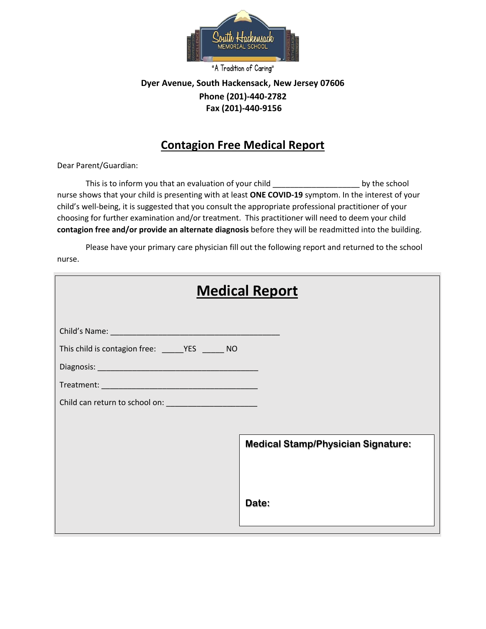

"A Tradition of Caring"

## **Dyer Avenue, South Hackensack**, **New Jersey 07606 Phone (201)-440-2782 Fax (201)-440-9156**

## **Contagion Free Medical Report**

Dear Parent/Guardian:

This is to inform you that an evaluation of your child \_\_\_\_\_\_\_\_\_\_\_\_\_\_\_\_\_\_\_\_ by the school nurse shows that your child is presenting with at least **ONE COVID-19** symptom. In the interest of your child's well-being, it is suggested that you consult the appropriate professional practitioner of your choosing for further examination and/or treatment. This practitioner will need to deem your child **contagion free and/or provide an alternate diagnosis** before they will be readmitted into the building.

Please have your primary care physician fill out the following report and returned to the school nurse.

| <b>Medical Report</b> |                                                    |
|-----------------------|----------------------------------------------------|
|                       |                                                    |
|                       | <b>Medical Stamp/Physician Signature:</b><br>Date: |